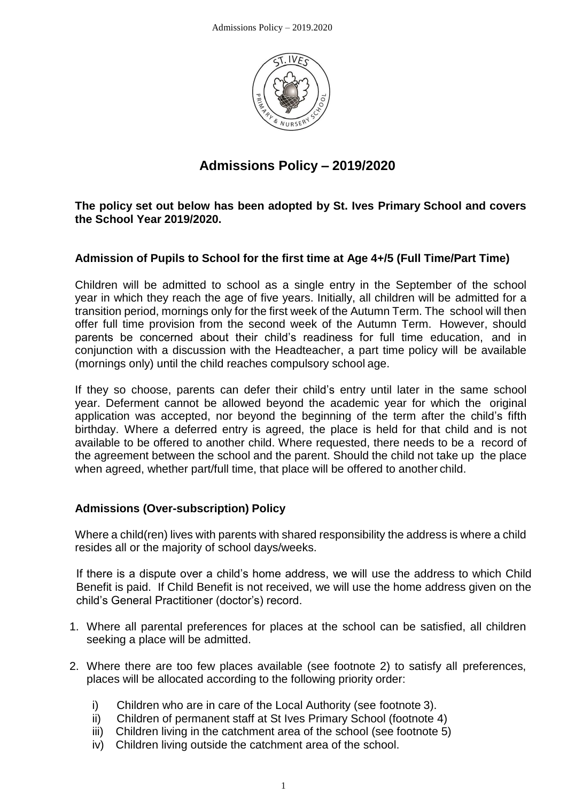

# **Admissions Policy – 2019/2020**

**The policy set out below has been adopted by St. Ives Primary School and covers the School Year 2019/2020.**

#### **Admission of Pupils to School for the first time at Age 4+/5 (Full Time/Part Time)**

Children will be admitted to school as a single entry in the September of the school year in which they reach the age of five years. Initially, all children will be admitted for a transition period, mornings only for the first week of the Autumn Term. The school will then offer full time provision from the second week of the Autumn Term. However, should parents be concerned about their child's readiness for full time education, and in conjunction with a discussion with the Headteacher, a part time policy will be available (mornings only) until the child reaches compulsory school age.

If they so choose, parents can defer their child's entry until later in the same school year. Deferment cannot be allowed beyond the academic year for which the original application was accepted, nor beyond the beginning of the term after the child's fifth birthday. Where a deferred entry is agreed, the place is held for that child and is not available to be offered to another child. Where requested, there needs to be a record of the agreement between the school and the parent. Should the child not take up the place when agreed, whether part/full time, that place will be offered to another child.

#### **Admissions (Over-subscription) Policy**

Where a child(ren) lives with parents with shared responsibility the address is where a child resides all or the majority of school days/weeks.

If there is a dispute over a child's home address, we will use the address to which Child Benefit is paid. If Child Benefit is not received, we will use the home address given on the child's General Practitioner (doctor's) record.

- 1. Where all parental preferences for places at the school can be satisfied, all children seeking a place will be admitted.
- 2. Where there are too few places available (see footnote 2) to satisfy all preferences, places will be allocated according to the following priority order:
	- i) Children who are in care of the Local Authority (see footnote 3).
	- ii) Children of permanent staff at St Ives Primary School (footnote 4)
	- iii) Children living in the catchment area of the school (see footnote 5)
	- iv) Children living outside the catchment area of the school.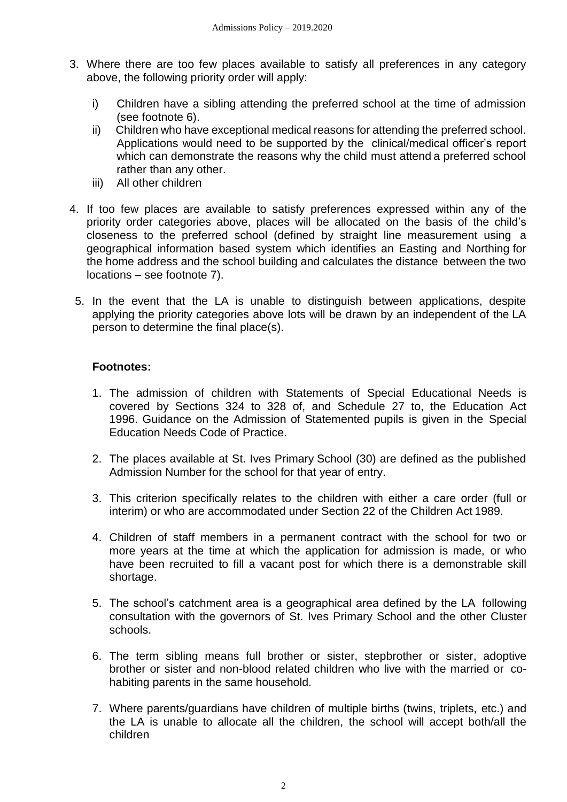- 3. Where there are too few places available to satisfy all preferences in any category above, the following priority order will apply:
	- i) Children have a sibling attending the preferred school at the time of admission (see footnote 6).
	- ii) Children who have exceptional medical reasons for attending the preferred school. Applications would need to be supported by the clinical/medical officer's report which can demonstrate the reasons why the child must attend a preferred school rather than any other.
	- iii) All other children
- 4. If too few places are available to satisfy preferences expressed within any of the priority order categories above, places will be allocated on the basis of the child's closeness to the preferred school (defined by straight line measurement using a geographical information based system which identifies an Easting and Northing for the home address and the school building and calculates the distance between the two locations – see footnote 7).
- 5. In the event that the LA is unable to distinguish between applications, despite applying the priority categories above lots will be drawn by an independent of the LA person to determine the final place(s).

### **Footnotes:**

- 1. The admission of children with Statements of Special Educational Needs is covered by Sections 324 to 328 of, and Schedule 27 to, the Education Act 1996. Guidance on the Admission of Statemented pupils is given in the Special Education Needs Code of Practice.
- 2. The places available at St. Ives Primary School (30) are defined as the published Admission Number for the school for that year of entry.
- 3. This criterion specifically relates to the children with either a care order (full or interim) or who are accommodated under Section 22 of the Children Act 1989.
- 4. Children of staff members in a permanent contract with the school for two or more years at the time at which the application for admission is made, or who have been recruited to fill a vacant post for which there is a demonstrable skill shortage.
- 5. The school's catchment area is a geographical area defined by the LA following consultation with the governors of St. Ives Primary School and the other Cluster schools.
- 6. The term sibling means full brother or sister, stepbrother or sister, adoptive brother or sister and non-blood related children who live with the married or cohabiting parents in the same household.
- 7. Where parents/guardians have children of multiple births (twins, triplets, etc.) and the LA is unable to allocate all the children, the school will accept both/all the children